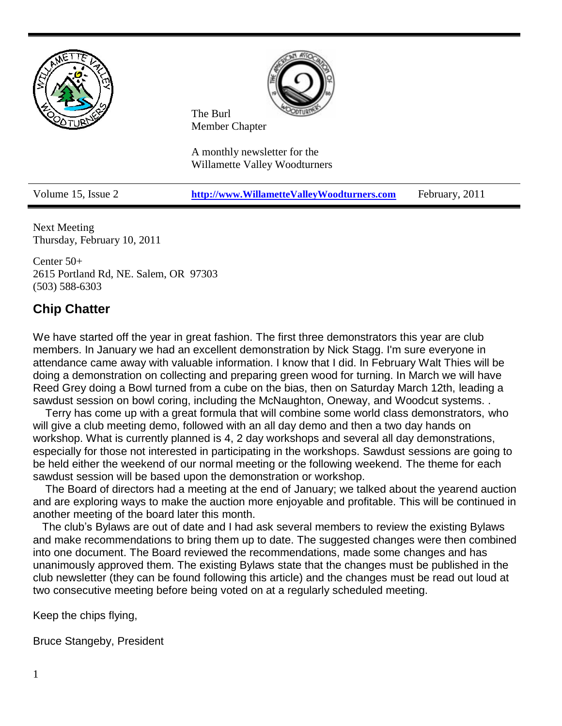

Volume 15, Issue 2 **[http://www.WillametteValleyWoodturners.com](http://www.willamettevalleywoodturners.com/)** February, 2011

Next Meeting Thursday, February 10, 2011

Center 50+ 2615 Portland Rd, NE. Salem, OR 97303 (503) 588-6303

### **Chip Chatter**

We have started off the year in great fashion. The first three demonstrators this year are club members. In January we had an excellent demonstration by Nick Stagg. I'm sure everyone in attendance came away with valuable information. I know that I did. In February Walt Thies will be doing a demonstration on collecting and preparing green wood for turning. In March we will have Reed Grey doing a Bowl turned from a cube on the bias, then on Saturday March 12th, leading a sawdust session on bowl coring, including the McNaughton, Oneway, and Woodcut systems. .

 Terry has come up with a great formula that will combine some world class demonstrators, who will give a club meeting demo, followed with an all day demo and then a two day hands on workshop. What is currently planned is 4, 2 day workshops and several all day demonstrations, especially for those not interested in participating in the workshops. Sawdust sessions are going to be held either the weekend of our normal meeting or the following weekend. The theme for each sawdust session will be based upon the demonstration or workshop.

 The Board of directors had a meeting at the end of January; we talked about the yearend auction and are exploring ways to make the auction more enjoyable and profitable. This will be continued in another meeting of the board later this month.

 The club's Bylaws are out of date and I had ask several members to review the existing Bylaws and make recommendations to bring them up to date. The suggested changes were then combined into one document. The Board reviewed the recommendations, made some changes and has unanimously approved them. The existing Bylaws state that the changes must be published in the club newsletter (they can be found following this article) and the changes must be read out loud at two consecutive meeting before being voted on at a regularly scheduled meeting.

Keep the chips flying,

Bruce Stangeby, President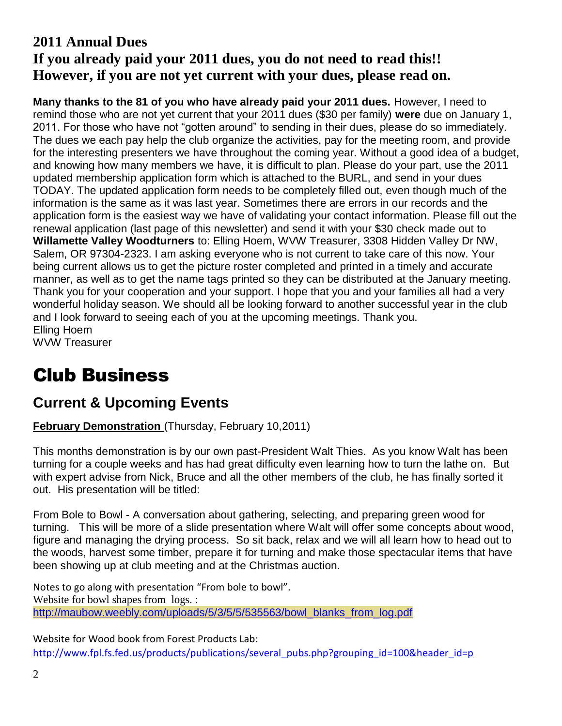### **2011 Annual Dues If you already paid your 2011 dues, you do not need to read this!! However, if you are not yet current with your dues, please read on.**

**Many thanks to the 81 of you who have already paid your 2011 dues.** However, I need to remind those who are not yet current that your 2011 dues (\$30 per family) **were** due on January 1, 2011. For those who have not "gotten around" to sending in their dues, please do so immediately. The dues we each pay help the club organize the activities, pay for the meeting room, and provide for the interesting presenters we have throughout the coming year. Without a good idea of a budget, and knowing how many members we have, it is difficult to plan. Please do your part, use the 2011 updated membership application form which is attached to the BURL, and send in your dues TODAY. The updated application form needs to be completely filled out, even though much of the information is the same as it was last year. Sometimes there are errors in our records and the application form is the easiest way we have of validating your contact information. Please fill out the renewal application (last page of this newsletter) and send it with your \$30 check made out to **Willamette Valley Woodturners** to: Elling Hoem, WVW Treasurer, 3308 Hidden Valley Dr NW, Salem, OR 97304-2323. I am asking everyone who is not current to take care of this now. Your being current allows us to get the picture roster completed and printed in a timely and accurate manner, as well as to get the name tags printed so they can be distributed at the January meeting. Thank you for your cooperation and your support. I hope that you and your families all had a very wonderful holiday season. We should all be looking forward to another successful year in the club and I look forward to seeing each of you at the upcoming meetings. Thank you. Elling Hoem

WVW Treasurer

# Club Business

### **Current & Upcoming Events**

**February Demonstration** (Thursday, February 10,2011)

This months demonstration is by our own past-President Walt Thies. As you know Walt has been turning for a couple weeks and has had great difficulty even learning how to turn the lathe on. But with expert advise from Nick, Bruce and all the other members of the club, he has finally sorted it out. His presentation will be titled:

From Bole to Bowl - A conversation about gathering, selecting, and preparing green wood for turning. This will be more of a slide presentation where Walt will offer some concepts about wood, figure and managing the drying process. So sit back, relax and we will all learn how to head out to the woods, harvest some timber, prepare it for turning and make those spectacular items that have been showing up at club meeting and at the Christmas auction.

Notes to go along with presentation "From bole to bowl". Website for bowl shapes from  $\log s$ .: [http://maubow.weebly.com/uploads/5/3/5/5/535563/bowl\\_blanks\\_from\\_log.pdf](http://maubow.weebly.com/uploads/5/3/5/5/535563/bowl_blanks_from_log.pdf)

Website for Wood book from Forest Products Lab: [http://www.fpl.fs.fed.us/products/publications/several\\_pubs.php?grouping\\_id=100&header\\_id=p](http://www.fpl.fs.fed.us/products/publications/several_pubs.php?grouping_id=100&header_id=p)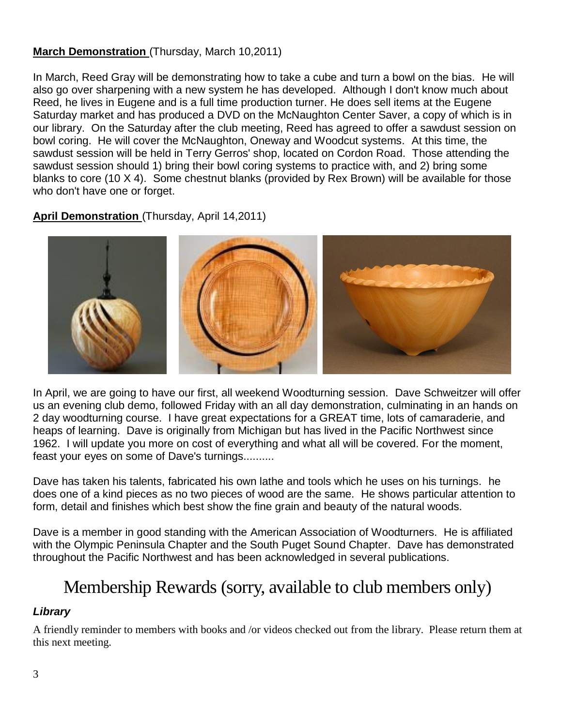#### **March Demonstration** (Thursday, March 10,2011)

In March, Reed Gray will be demonstrating how to take a cube and turn a bowl on the bias. He will also go over sharpening with a new system he has developed. Although I don't know much about Reed, he lives in Eugene and is a full time production turner. He does sell items at the Eugene Saturday market and has produced a DVD on the McNaughton Center Saver, a copy of which is in our library. On the Saturday after the club meeting, Reed has agreed to offer a sawdust session on bowl coring. He will cover the McNaughton, Oneway and Woodcut systems. At this time, the sawdust session will be held in Terry Gerros' shop, located on Cordon Road. Those attending the sawdust session should 1) bring their bowl coring systems to practice with, and 2) bring some blanks to core (10 X 4). Some chestnut blanks (provided by Rex Brown) will be available for those who don't have one or forget.

**April Demonstration** (Thursday, April 14,2011)



In April, we are going to have our first, all weekend Woodturning session. Dave Schweitzer will offer us an evening club demo, followed Friday with an all day demonstration, culminating in an hands on 2 day woodturning course. I have great expectations for a GREAT time, lots of camaraderie, and heaps of learning. Dave is originally from Michigan but has lived in the Pacific Northwest since 1962. I will update you more on cost of everything and what all will be covered. For the moment, feast your eyes on some of Dave's turnings..........

Dave has taken his talents, fabricated his own lathe and tools which he uses on his turnings. he does one of a kind pieces as no two pieces of wood are the same. He shows particular attention to form, detail and finishes which best show the fine grain and beauty of the natural woods.

Dave is a member in good standing with the American Association of Woodturners. He is affiliated with the Olympic Peninsula Chapter and the South Puget Sound Chapter. Dave has demonstrated throughout the Pacific Northwest and has been acknowledged in several publications.

## Membership Rewards (sorry, available to club members only)

#### *Library*

A friendly reminder to members with books and /or videos checked out from the library. Please return them at this next meeting.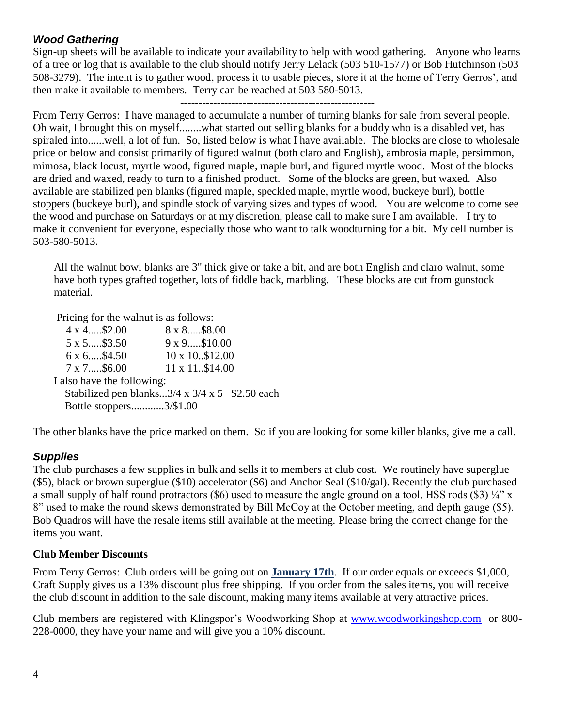#### *Wood Gathering*

Sign-up sheets will be available to indicate your availability to help with wood gathering. Anyone who learns of a tree or log that is available to the club should notify Jerry Lelack (503 510-1577) or Bob Hutchinson (503 508-3279). The intent is to gather wood, process it to usable pieces, store it at the home of Terry Gerros', and then make it available to members. Terry can be reached at 503 580-5013. -----------------------------------------------------

From Terry Gerros: I have managed to accumulate a number of turning blanks for sale from several people. Oh wait, I brought this on myself........what started out selling blanks for a buddy who is a disabled vet, has spiraled into......well, a lot of fun. So, listed below is what I have available. The blocks are close to wholesale price or below and consist primarily of figured walnut (both claro and English), ambrosia maple, persimmon, mimosa, black locust, myrtle wood, figured maple, maple burl, and figured myrtle wood. Most of the blocks are dried and waxed, ready to turn to a finished product. Some of the blocks are green, but waxed. Also available are stabilized pen blanks (figured maple, speckled maple, myrtle wood, buckeye burl), bottle stoppers (buckeye burl), and spindle stock of varying sizes and types of wood. You are welcome to come see the wood and purchase on Saturdays or at my discretion, please call to make sure I am available. I try to make it convenient for everyone, especially those who want to talk woodturning for a bit. My cell number is 503-580-5013.

All the walnut bowl blanks are 3" thick give or take a bit, and are both English and claro walnut, some have both types grafted together, lots of fiddle back, marbling. These blocks are cut from gunstock material.

Pricing for the walnut is as follows:

| $4 \times 4$ \$2.00        | $8 \times 8 \dots .58.00$                                   |
|----------------------------|-------------------------------------------------------------|
| 5 x 5\$3.50                | 9 x 9\$10.00                                                |
| 6 x 6\$4.50                | 10 x 10\$12.00                                              |
| 7 x 7\$6.00                | 11 x 11\$14.00                                              |
| I also have the following: |                                                             |
|                            | Stabilized pen blanks $3/4 \times 3/4 \times 5$ \$2.50 each |
| Bottle stoppers3/\$1.00    |                                                             |
|                            |                                                             |

The other blanks have the price marked on them. So if you are looking for some killer blanks, give me a call.

#### *Supplies*

The club purchases a few supplies in bulk and sells it to members at club cost. We routinely have superglue (\$5), black or brown superglue (\$10) accelerator (\$6) and Anchor Seal (\$10/gal). Recently the club purchased a small supply of half round protractors (\$6) used to measure the angle ground on a tool, HSS rods (\$3)  $\frac{1}{4}$ " x 8" used to make the round skews demonstrated by Bill McCoy at the October meeting, and depth gauge (\$5). Bob Quadros will have the resale items still available at the meeting. Please bring the correct change for the items you want.

#### **Club Member Discounts**

From Terry Gerros: Club orders will be going out on **January 17th**. If our order equals or exceeds \$1,000, Craft Supply gives us a 13% discount plus free shipping. If you order from the sales items, you will receive the club discount in addition to the sale discount, making many items available at very attractive prices.

Club members are registered with Klingspor's Woodworking Shop at [www.woodworkingshop.com](http://www.woodworkingshop.com/)or 800- 228-0000, they have your name and will give you a 10% discount.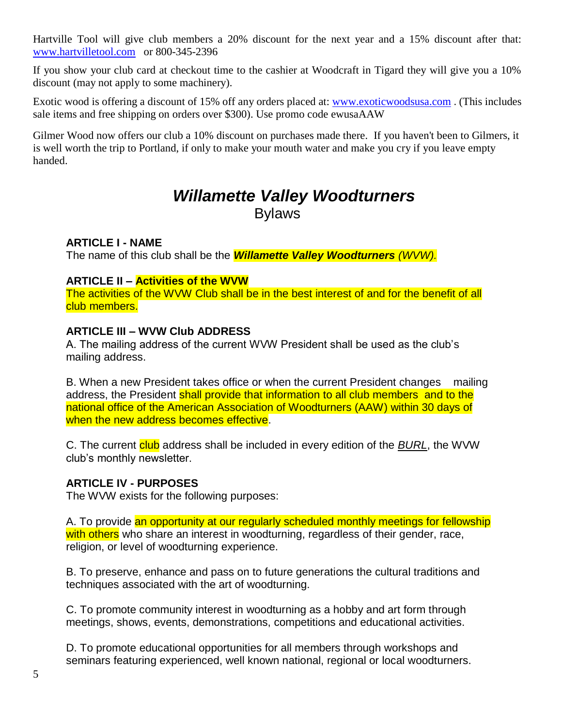Hartville Tool will give club members a 20% discount for the next year and a 15% discount after that: [www.hartvilletool.com](http://www.hartvilletool.com/)or 800-345-2396

If you show your club card at checkout time to the cashier at Woodcraft in Tigard they will give you a 10% discount (may not apply to some machinery).

Exotic wood is offering a discount of 15% off any orders placed at: [www.exoticwoodsusa.com](http://www.exoticwoodsusa.com/) . (This includes sale items and free shipping on orders over \$300). Use promo code ewusaAAW

Gilmer Wood now offers our club a 10% discount on purchases made there. If you haven't been to Gilmers, it is well worth the trip to Portland, if only to make your mouth water and make you cry if you leave empty handed.

### *Willamette Valley Woodturners* Bylaws

#### **ARTICLE I - NAME**

The name of this club shall be the *Willamette Valley Woodturners (WVW).*

#### **ARTICLE II – Activities of the WVW**

The activities of the WVW Club shall be in the best interest of and for the benefit of all club members.

#### **ARTICLE III – WVW Club ADDRESS**

A. The mailing address of the current WVW President shall be used as the club's mailing address.

B. When a new President takes office or when the current President changes mailing address, the President shall provide that information to all club members and to the national office of the American Association of Woodturners (AAW) within 30 days of when the new address becomes effective.

C. The current club address shall be included in every edition of the *BURL*, the WVW club's monthly newsletter.

#### **ARTICLE IV - PURPOSES**

The WVW exists for the following purposes:

A. To provide an opportunity at our regularly scheduled monthly meetings for fellowship with others who share an interest in woodturning, regardless of their gender, race, religion, or level of woodturning experience.

B. To preserve, enhance and pass on to future generations the cultural traditions and techniques associated with the art of woodturning.

C. To promote community interest in woodturning as a hobby and art form through meetings, shows, events, demonstrations, competitions and educational activities.

D. To promote educational opportunities for all members through workshops and seminars featuring experienced, well known national, regional or local woodturners.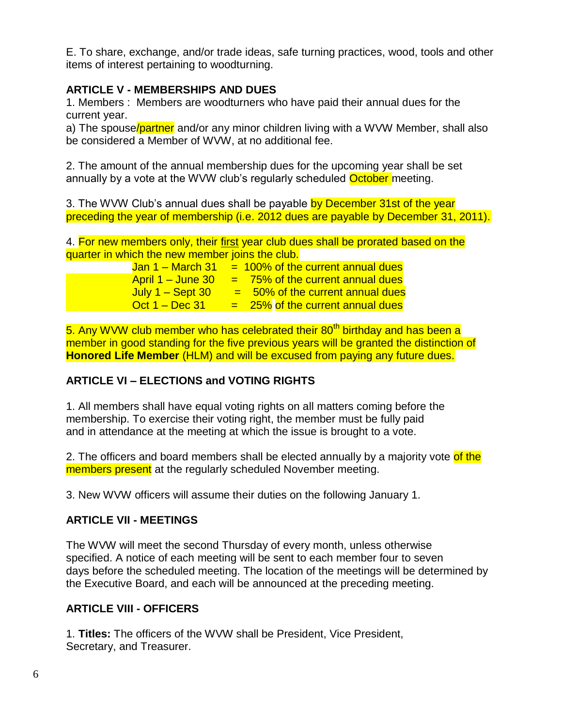E. To share, exchange, and/or trade ideas, safe turning practices, wood, tools and other items of interest pertaining to woodturning.

#### **ARTICLE V - MEMBERSHIPS AND DUES**

1. Members : Members are woodturners who have paid their annual dues for the current year.

a) The spouse/partner and/or any minor children living with a WVW Member, shall also be considered a Member of WVW, at no additional fee.

2. The amount of the annual membership dues for the upcoming year shall be set annually by a vote at the WVW club's regularly scheduled **October** meeting.

3. The WVW Club's annual dues shall be payable by December 31st of the year preceding the year of membership (i.e. 2012 dues are payable by December 31, 2011).

4. For new members only, their first year club dues shall be prorated based on the quarter in which the new member joins the club.

| <b>Jan 1 – March 31</b> | $=$ 100% of the current annual dues |
|-------------------------|-------------------------------------|
| April $1 -$ June 30     | $=$ 75% of the current annual dues  |
| July 1 – Sept 30        | $=$ 50% of the current annual dues  |
| Oct $1 - Dec 31$        | $=$ 25% of the current annual dues  |

5. Any WVW club member who has celebrated their 80<sup>th</sup> birthday and has been a member in good standing for the five previous years will be granted the distinction of **Honored Life Member** (HLM) and will be excused from paying any future dues.

#### **ARTICLE VI – ELECTIONS and VOTING RIGHTS**

1. All members shall have equal voting rights on all matters coming before the membership. To exercise their voting right, the member must be fully paid and in attendance at the meeting at which the issue is brought to a vote.

2. The officers and board members shall be elected annually by a majority vote of the members present at the regularly scheduled November meeting.

3. New WVW officers will assume their duties on the following January 1.

#### **ARTICLE VII - MEETINGS**

The WVW will meet the second Thursday of every month, unless otherwise specified. A notice of each meeting will be sent to each member four to seven days before the scheduled meeting. The location of the meetings will be determined by the Executive Board, and each will be announced at the preceding meeting.

#### **ARTICLE VIII - OFFICERS**

1. **Titles:** The officers of the WVW shall be President, Vice President, Secretary, and Treasurer.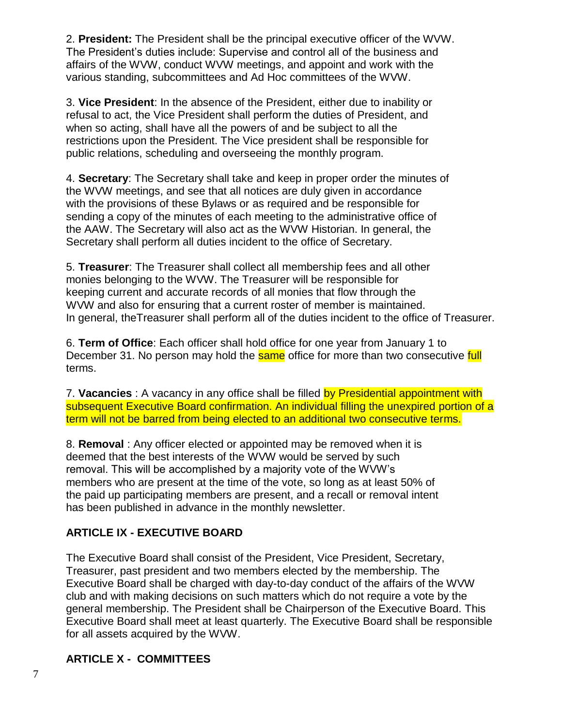2. **President:** The President shall be the principal executive officer of the WVW. The President's duties include: Supervise and control all of the business and affairs of the WVW, conduct WVW meetings, and appoint and work with the various standing, subcommittees and Ad Hoc committees of the WVW.

3. **Vice President**: In the absence of the President, either due to inability or refusal to act, the Vice President shall perform the duties of President, and when so acting, shall have all the powers of and be subject to all the restrictions upon the President. The Vice president shall be responsible for public relations, scheduling and overseeing the monthly program.

4. **Secretary**: The Secretary shall take and keep in proper order the minutes of the WVW meetings, and see that all notices are duly given in accordance with the provisions of these Bylaws or as required and be responsible for sending a copy of the minutes of each meeting to the administrative office of the AAW. The Secretary will also act as the WVW Historian. In general, the Secretary shall perform all duties incident to the office of Secretary.

5. **Treasurer**: The Treasurer shall collect all membership fees and all other monies belonging to the WVW. The Treasurer will be responsible for keeping current and accurate records of all monies that flow through the WVW and also for ensuring that a current roster of member is maintained. In general, theTreasurer shall perform all of the duties incident to the office of Treasurer.

6. **Term of Office**: Each officer shall hold office for one year from January 1 to December 31. No person may hold the **same** office for more than two consecutive **full** terms.

7. **Vacancies** : A vacancy in any office shall be filled by Presidential appointment with subsequent Executive Board confirmation. An individual filling the unexpired portion of a term will not be barred from being elected to an additional two consecutive terms.

8. **Removal** : Any officer elected or appointed may be removed when it is deemed that the best interests of the WVW would be served by such removal. This will be accomplished by a majority vote of the WVW's members who are present at the time of the vote, so long as at least 50% of the paid up participating members are present, and a recall or removal intent has been published in advance in the monthly newsletter.

#### **ARTICLE IX - EXECUTIVE BOARD**

The Executive Board shall consist of the President, Vice President, Secretary, Treasurer, past president and two members elected by the membership. The Executive Board shall be charged with day-to-day conduct of the affairs of the WVW club and with making decisions on such matters which do not require a vote by the general membership. The President shall be Chairperson of the Executive Board. This Executive Board shall meet at least quarterly. The Executive Board shall be responsible for all assets acquired by the WVW.

#### **ARTICLE X - COMMITTEES**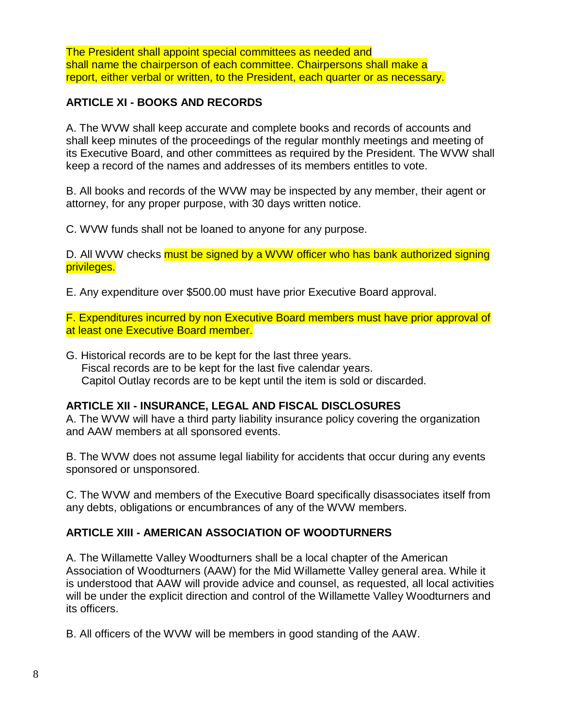The President shall appoint special committees as needed and shall name the chairperson of each committee. Chairpersons shall make a report, either verbal or written, to the President, each quarter or as necessary.

#### **ARTICLE XI - BOOKS AND RECORDS**

A. The WVW shall keep accurate and complete books and records of accounts and shall keep minutes of the proceedings of the regular monthly meetings and meeting of its Executive Board, and other committees as required by the President. The WVW shall keep a record of the names and addresses of its members entitles to vote.

B. All books and records of the WVW may be inspected by any member, their agent or attorney, for any proper purpose, with 30 days written notice.

C. WVW funds shall not be loaned to anyone for any purpose.

D. All WVW checks must be signed by a WVW officer who has bank authorized signing privileges.

E. Any expenditure over \$500.00 must have prior Executive Board approval.

F. Expenditures incurred by non Executive Board members must have prior approval of at least one Executive Board member.

G. Historical records are to be kept for the last three years. Fiscal records are to be kept for the last five calendar years. Capitol Outlay records are to be kept until the item is sold or discarded.

#### **ARTICLE XII - INSURANCE, LEGAL AND FISCAL DISCLOSURES**

A. The WVW will have a third party liability insurance policy covering the organization and AAW members at all sponsored events.

B. The WVW does not assume legal liability for accidents that occur during any events sponsored or unsponsored.

C. The WVW and members of the Executive Board specifically disassociates itself from any debts, obligations or encumbrances of any of the WVW members.

#### **ARTICLE XIII - AMERICAN ASSOCIATION OF WOODTURNERS**

A. The Willamette Valley Woodturners shall be a local chapter of the American Association of Woodturners (AAW) for the Mid Willamette Valley general area. While it is understood that AAW will provide advice and counsel, as requested, all local activities will be under the explicit direction and control of the Willamette Valley Woodturners and its officers.

B. All officers of the WVW will be members in good standing of the AAW.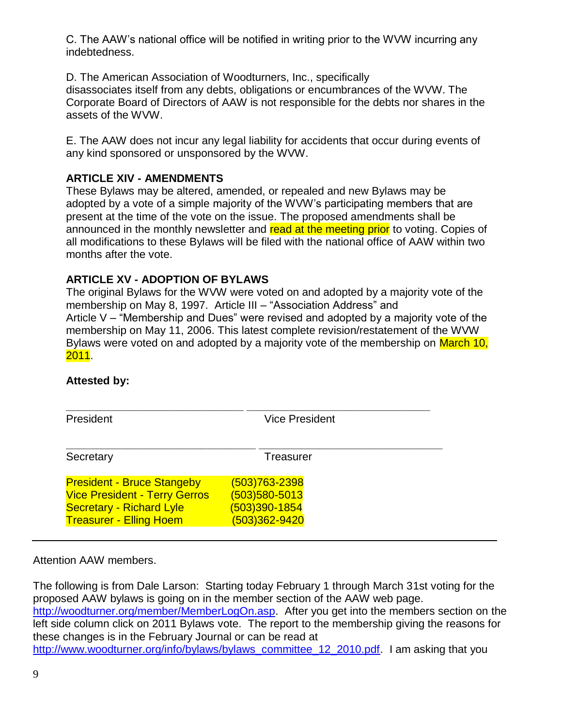C. The AAW's national office will be notified in writing prior to the WVW incurring any indebtedness.

D. The American Association of Woodturners, Inc., specifically disassociates itself from any debts, obligations or encumbrances of the WVW. The Corporate Board of Directors of AAW is not responsible for the debts nor shares in the assets of the WVW.

E. The AAW does not incur any legal liability for accidents that occur during events of any kind sponsored or unsponsored by the WVW.

#### **ARTICLE XIV - AMENDMENTS**

These Bylaws may be altered, amended, or repealed and new Bylaws may be adopted by a vote of a simple majority of the WVW's participating members that are present at the time of the vote on the issue. The proposed amendments shall be announced in the monthly newsletter and read at the meeting prior to voting. Copies of all modifications to these Bylaws will be filed with the national office of AAW within two months after the vote.

#### **ARTICLE XV - ADOPTION OF BYLAWS**

The original Bylaws for the WVW were voted on and adopted by a majority vote of the membership on May 8, 1997. Article III – "Association Address" and Article V – "Membership and Dues" were revised and adopted by a majority vote of the membership on May 11, 2006. This latest complete revision/restatement of the WVW Bylaws were voted on and adopted by a majority vote of the membership on March 10, 2011.

### **\_\_\_\_\_\_\_\_\_\_\_\_\_\_\_\_\_\_\_\_\_\_\_\_\_\_\_\_\_ \_\_\_\_\_\_\_\_\_\_\_\_\_\_\_\_\_\_\_\_\_\_\_\_\_\_\_\_\_\_** President Vice President **\_\_\_\_\_\_\_\_\_\_\_\_\_\_\_\_\_\_\_\_\_\_\_\_\_\_\_\_\_\_\_ \_\_\_\_\_\_\_\_\_\_\_\_\_\_\_\_\_\_\_\_\_\_\_\_\_\_\_\_\_\_** Secretary **Treasurer** Treasurer President - Bruce Stangeby (503)763-2398 Vice President - Terry Gerros (503)580-5013 Secretary - Richard Lyle (503)390-1854 Treasurer - Elling Hoem (503)362-9420

Attention AAW members.

**Attested by:**

The following is from Dale Larson: Starting today February 1 through March 31st voting for the proposed AAW bylaws is going on in the member section of the AAW web page. [http://woodturner.org/member/MemberLogOn.asp.](http://woodturner.org/member/MemberLogOn.asp) After you get into the members section on the left side column click on 2011 Bylaws vote. The report to the membership giving the reasons for these changes is in the February Journal or can be read at [http://www.woodturner.org/info/bylaws/bylaws\\_committee\\_12\\_2010.pdf.](http://www.woodturner.org/info/bylaws/bylaws_committee_12_2010.pdf) I am asking that you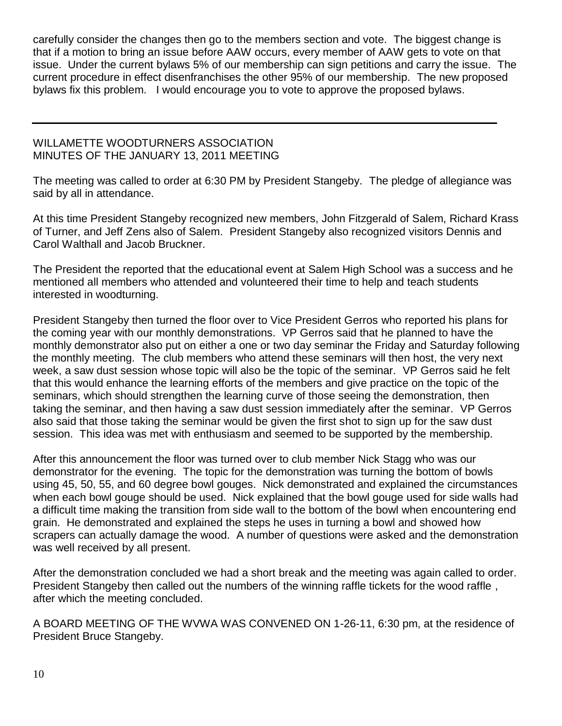carefully consider the changes then go to the members section and vote. The biggest change is that if a motion to bring an issue before AAW occurs, every member of AAW gets to vote on that issue. Under the current bylaws 5% of our membership can sign petitions and carry the issue. The current procedure in effect disenfranchises the other 95% of our membership. The new proposed bylaws fix this problem. I would encourage you to vote to approve the proposed bylaws.

#### WILLAMETTE WOODTURNERS ASSOCIATION MINUTES OF THE JANUARY 13, 2011 MEETING

The meeting was called to order at 6:30 PM by President Stangeby. The pledge of allegiance was said by all in attendance.

At this time President Stangeby recognized new members, John Fitzgerald of Salem, Richard Krass of Turner, and Jeff Zens also of Salem. President Stangeby also recognized visitors Dennis and Carol Walthall and Jacob Bruckner.

The President the reported that the educational event at Salem High School was a success and he mentioned all members who attended and volunteered their time to help and teach students interested in woodturning.

President Stangeby then turned the floor over to Vice President Gerros who reported his plans for the coming year with our monthly demonstrations. VP Gerros said that he planned to have the monthly demonstrator also put on either a one or two day seminar the Friday and Saturday following the monthly meeting. The club members who attend these seminars will then host, the very next week, a saw dust session whose topic will also be the topic of the seminar. VP Gerros said he felt that this would enhance the learning efforts of the members and give practice on the topic of the seminars, which should strengthen the learning curve of those seeing the demonstration, then taking the seminar, and then having a saw dust session immediately after the seminar. VP Gerros also said that those taking the seminar would be given the first shot to sign up for the saw dust session. This idea was met with enthusiasm and seemed to be supported by the membership.

After this announcement the floor was turned over to club member Nick Stagg who was our demonstrator for the evening. The topic for the demonstration was turning the bottom of bowls using 45, 50, 55, and 60 degree bowl gouges. Nick demonstrated and explained the circumstances when each bowl gouge should be used. Nick explained that the bowl gouge used for side walls had a difficult time making the transition from side wall to the bottom of the bowl when encountering end grain. He demonstrated and explained the steps he uses in turning a bowl and showed how scrapers can actually damage the wood. A number of questions were asked and the demonstration was well received by all present.

After the demonstration concluded we had a short break and the meeting was again called to order. President Stangeby then called out the numbers of the winning raffle tickets for the wood raffle , after which the meeting concluded.

A BOARD MEETING OF THE WVWA WAS CONVENED ON 1-26-11, 6:30 pm, at the residence of President Bruce Stangeby.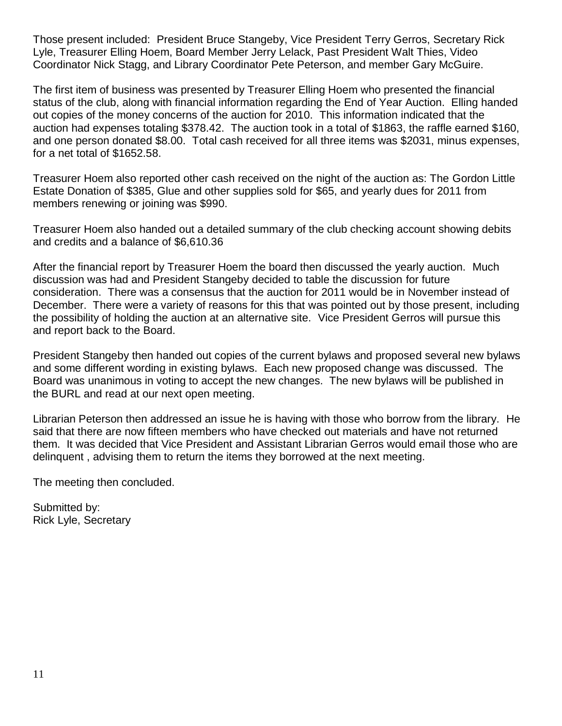Those present included: President Bruce Stangeby, Vice President Terry Gerros, Secretary Rick Lyle, Treasurer Elling Hoem, Board Member Jerry Lelack, Past President Walt Thies, Video Coordinator Nick Stagg, and Library Coordinator Pete Peterson, and member Gary McGuire.

The first item of business was presented by Treasurer Elling Hoem who presented the financial status of the club, along with financial information regarding the End of Year Auction. Elling handed out copies of the money concerns of the auction for 2010. This information indicated that the auction had expenses totaling \$378.42. The auction took in a total of \$1863, the raffle earned \$160, and one person donated \$8.00. Total cash received for all three items was \$2031, minus expenses, for a net total of \$1652.58.

Treasurer Hoem also reported other cash received on the night of the auction as: The Gordon Little Estate Donation of \$385, Glue and other supplies sold for \$65, and yearly dues for 2011 from members renewing or joining was \$990.

Treasurer Hoem also handed out a detailed summary of the club checking account showing debits and credits and a balance of \$6,610.36

After the financial report by Treasurer Hoem the board then discussed the yearly auction. Much discussion was had and President Stangeby decided to table the discussion for future consideration. There was a consensus that the auction for 2011 would be in November instead of December. There were a variety of reasons for this that was pointed out by those present, including the possibility of holding the auction at an alternative site. Vice President Gerros will pursue this and report back to the Board.

President Stangeby then handed out copies of the current bylaws and proposed several new bylaws and some different wording in existing bylaws. Each new proposed change was discussed. The Board was unanimous in voting to accept the new changes. The new bylaws will be published in the BURL and read at our next open meeting.

Librarian Peterson then addressed an issue he is having with those who borrow from the library. He said that there are now fifteen members who have checked out materials and have not returned them. It was decided that Vice President and Assistant Librarian Gerros would email those who are delinquent , advising them to return the items they borrowed at the next meeting.

The meeting then concluded.

Submitted by: Rick Lyle, Secretary